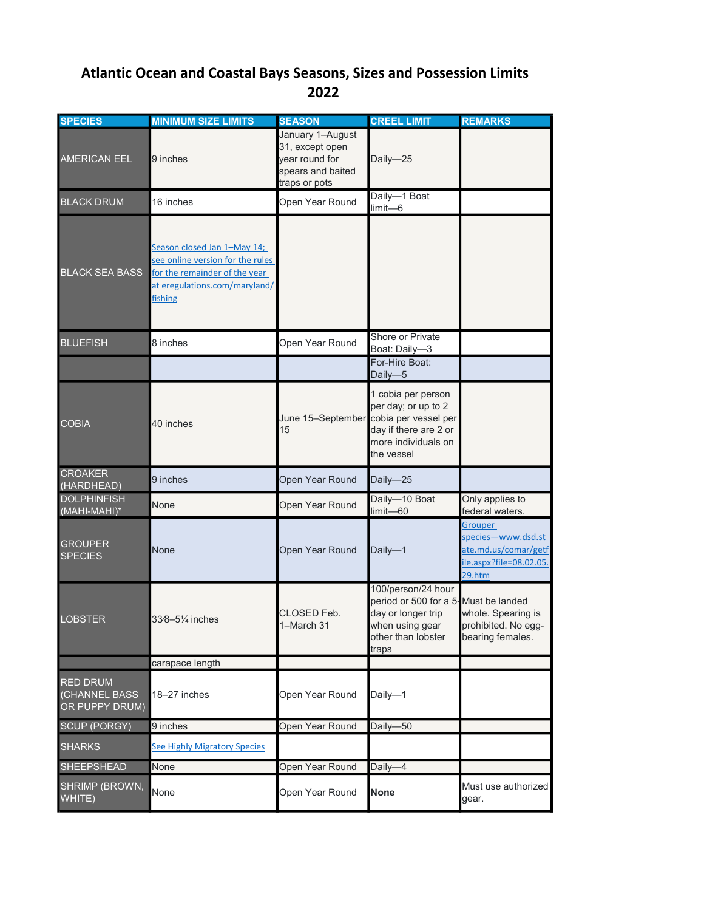## 2022 Atlantic Ocean and Coastal Bays Seasons, Sizes and Possession Limits

| <b>SPECIES</b>                                     | <b>MINIMUM SIZE LIMITS</b>                                                                                                                   | <b>SEASON</b>                                                                               | <b>CREEL LIMIT</b>                                                                                                                 | <b>REMARKS</b>                                                                             |
|----------------------------------------------------|----------------------------------------------------------------------------------------------------------------------------------------------|---------------------------------------------------------------------------------------------|------------------------------------------------------------------------------------------------------------------------------------|--------------------------------------------------------------------------------------------|
| <b>AMERICAN EEL</b>                                | 9 inches                                                                                                                                     | January 1-August<br>31, except open<br>year round for<br>spears and baited<br>traps or pots | Daily-25                                                                                                                           |                                                                                            |
| <b>BLACK DRUM</b>                                  | 16 inches                                                                                                                                    | Open Year Round                                                                             | Daily-1 Boat<br>limit-6                                                                                                            |                                                                                            |
| <b>BLACK SEA BASS</b>                              | Season closed Jan 1-May 14;<br>see online version for the rules<br>for the remainder of the year<br>at eregulations.com/maryland/<br>fishing |                                                                                             |                                                                                                                                    |                                                                                            |
| <b>BLUEFISH</b>                                    | 8 inches                                                                                                                                     | Open Year Round                                                                             | Shore or Private<br>Boat: Daily-3                                                                                                  |                                                                                            |
|                                                    |                                                                                                                                              |                                                                                             | For-Hire Boat:<br>Daily-5                                                                                                          |                                                                                            |
| <b>COBIA</b>                                       | 40 inches                                                                                                                                    | June 15-September<br>15                                                                     | 1 cobia per person<br>per day; or up to 2<br>cobia per vessel per<br>day if there are 2 or<br>more individuals on<br>the vessel    |                                                                                            |
| <b>CROAKER</b><br>(HARDHEAD)                       | 9 inches                                                                                                                                     | Open Year Round                                                                             | Daily-25                                                                                                                           |                                                                                            |
| <b>DOLPHINFISH</b><br>(MAHI-MAHI)*                 | None                                                                                                                                         | Open Year Round                                                                             | Daily-10 Boat<br>limit-60                                                                                                          | Only applies to<br>federal waters.                                                         |
| <b>GROUPER</b><br><b>SPECIES</b>                   | None                                                                                                                                         | Open Year Round                                                                             | Daily-1                                                                                                                            | Grouper<br>species-www.dsd.st<br>ate.md.us/comar/getf<br>ile.aspx?file=08.02.05.<br>29.htm |
| <b>LOBSTER</b>                                     | 33⁄8-51⁄4 inches                                                                                                                             | CLOSED Feb.<br>1-March 31                                                                   | 100/person/24 hour<br>period or 500 for a 5-Must be landed<br>day or longer trip<br>when using gear<br>other than lobster<br>traps | whole. Spearing is<br>prohibited. No egg-<br>bearing females.                              |
|                                                    | carapace length                                                                                                                              |                                                                                             |                                                                                                                                    |                                                                                            |
| <b>RED DRUM</b><br>(CHANNEL BASS<br>OR PUPPY DRUM) | 18-27 inches                                                                                                                                 | Open Year Round                                                                             | Daily-1                                                                                                                            |                                                                                            |
| <b>SCUP (PORGY)</b>                                | 9 inches                                                                                                                                     | Open Year Round                                                                             | Daily-50                                                                                                                           |                                                                                            |
| <b>SHARKS</b>                                      | <b>See Highly Migratory Species</b>                                                                                                          |                                                                                             |                                                                                                                                    |                                                                                            |
| <b>SHEEPSHEAD</b>                                  | None                                                                                                                                         | Open Year Round                                                                             | Daily-4                                                                                                                            |                                                                                            |
| SHRIMP (BROWN,<br>WHITE)                           | None                                                                                                                                         | Open Year Round                                                                             | <b>None</b>                                                                                                                        | Must use authorized<br>gear.                                                               |